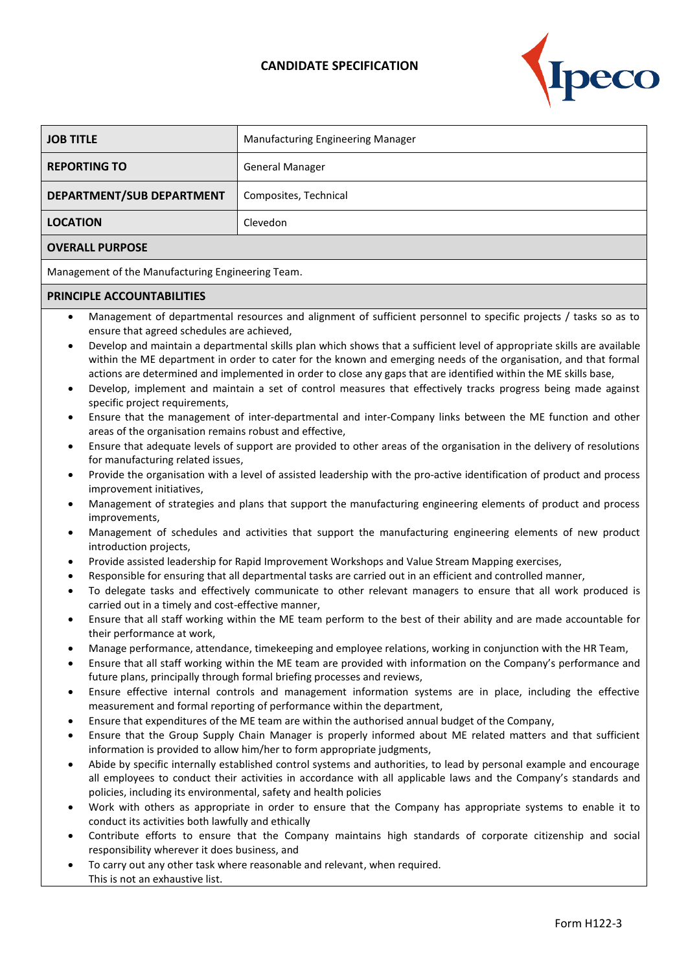## **CANDIDATE SPECIFICATION**



| <b>JOB TITLE</b>                                                                                                                                                                                                                                                                                                                                                                                                                                                                                                                                                                                                                                                                                                                                                                                                                                                                                                                                                                                                                                                                                                                                                                                                                                                                                                                                                                                                                                                                                                                                                                                                                                                                                                                                                                                                                                                                                                                                                                                                                                                                                                                                                                                                                                                                                                                                                                                                                                                                                                                                                                                                                                                                                                                                                                                                                                                                                                                                                                                                                                                                                                                                                                                                                                | Manufacturing Engineering Manager |  |
|-------------------------------------------------------------------------------------------------------------------------------------------------------------------------------------------------------------------------------------------------------------------------------------------------------------------------------------------------------------------------------------------------------------------------------------------------------------------------------------------------------------------------------------------------------------------------------------------------------------------------------------------------------------------------------------------------------------------------------------------------------------------------------------------------------------------------------------------------------------------------------------------------------------------------------------------------------------------------------------------------------------------------------------------------------------------------------------------------------------------------------------------------------------------------------------------------------------------------------------------------------------------------------------------------------------------------------------------------------------------------------------------------------------------------------------------------------------------------------------------------------------------------------------------------------------------------------------------------------------------------------------------------------------------------------------------------------------------------------------------------------------------------------------------------------------------------------------------------------------------------------------------------------------------------------------------------------------------------------------------------------------------------------------------------------------------------------------------------------------------------------------------------------------------------------------------------------------------------------------------------------------------------------------------------------------------------------------------------------------------------------------------------------------------------------------------------------------------------------------------------------------------------------------------------------------------------------------------------------------------------------------------------------------------------------------------------------------------------------------------------------------------------------------------------------------------------------------------------------------------------------------------------------------------------------------------------------------------------------------------------------------------------------------------------------------------------------------------------------------------------------------------------------------------------------------------------------------------------------------------------|-----------------------------------|--|
| <b>REPORTING TO</b>                                                                                                                                                                                                                                                                                                                                                                                                                                                                                                                                                                                                                                                                                                                                                                                                                                                                                                                                                                                                                                                                                                                                                                                                                                                                                                                                                                                                                                                                                                                                                                                                                                                                                                                                                                                                                                                                                                                                                                                                                                                                                                                                                                                                                                                                                                                                                                                                                                                                                                                                                                                                                                                                                                                                                                                                                                                                                                                                                                                                                                                                                                                                                                                                                             | <b>General Manager</b>            |  |
| DEPARTMENT/SUB DEPARTMENT                                                                                                                                                                                                                                                                                                                                                                                                                                                                                                                                                                                                                                                                                                                                                                                                                                                                                                                                                                                                                                                                                                                                                                                                                                                                                                                                                                                                                                                                                                                                                                                                                                                                                                                                                                                                                                                                                                                                                                                                                                                                                                                                                                                                                                                                                                                                                                                                                                                                                                                                                                                                                                                                                                                                                                                                                                                                                                                                                                                                                                                                                                                                                                                                                       | Composites, Technical             |  |
| <b>LOCATION</b>                                                                                                                                                                                                                                                                                                                                                                                                                                                                                                                                                                                                                                                                                                                                                                                                                                                                                                                                                                                                                                                                                                                                                                                                                                                                                                                                                                                                                                                                                                                                                                                                                                                                                                                                                                                                                                                                                                                                                                                                                                                                                                                                                                                                                                                                                                                                                                                                                                                                                                                                                                                                                                                                                                                                                                                                                                                                                                                                                                                                                                                                                                                                                                                                                                 | Clevedon                          |  |
| <b>OVERALL PURPOSE</b>                                                                                                                                                                                                                                                                                                                                                                                                                                                                                                                                                                                                                                                                                                                                                                                                                                                                                                                                                                                                                                                                                                                                                                                                                                                                                                                                                                                                                                                                                                                                                                                                                                                                                                                                                                                                                                                                                                                                                                                                                                                                                                                                                                                                                                                                                                                                                                                                                                                                                                                                                                                                                                                                                                                                                                                                                                                                                                                                                                                                                                                                                                                                                                                                                          |                                   |  |
| Management of the Manufacturing Engineering Team.                                                                                                                                                                                                                                                                                                                                                                                                                                                                                                                                                                                                                                                                                                                                                                                                                                                                                                                                                                                                                                                                                                                                                                                                                                                                                                                                                                                                                                                                                                                                                                                                                                                                                                                                                                                                                                                                                                                                                                                                                                                                                                                                                                                                                                                                                                                                                                                                                                                                                                                                                                                                                                                                                                                                                                                                                                                                                                                                                                                                                                                                                                                                                                                               |                                   |  |
| PRINCIPLE ACCOUNTABILITIES                                                                                                                                                                                                                                                                                                                                                                                                                                                                                                                                                                                                                                                                                                                                                                                                                                                                                                                                                                                                                                                                                                                                                                                                                                                                                                                                                                                                                                                                                                                                                                                                                                                                                                                                                                                                                                                                                                                                                                                                                                                                                                                                                                                                                                                                                                                                                                                                                                                                                                                                                                                                                                                                                                                                                                                                                                                                                                                                                                                                                                                                                                                                                                                                                      |                                   |  |
| Management of departmental resources and alignment of sufficient personnel to specific projects / tasks so as to<br>$\bullet$<br>ensure that agreed schedules are achieved,<br>Develop and maintain a departmental skills plan which shows that a sufficient level of appropriate skills are available<br>$\bullet$<br>within the ME department in order to cater for the known and emerging needs of the organisation, and that formal<br>actions are determined and implemented in order to close any gaps that are identified within the ME skills base,<br>Develop, implement and maintain a set of control measures that effectively tracks progress being made against<br>$\bullet$<br>specific project requirements,<br>Ensure that the management of inter-departmental and inter-Company links between the ME function and other<br>$\bullet$<br>areas of the organisation remains robust and effective,<br>Ensure that adequate levels of support are provided to other areas of the organisation in the delivery of resolutions<br>$\bullet$<br>for manufacturing related issues,<br>Provide the organisation with a level of assisted leadership with the pro-active identification of product and process<br>$\bullet$<br>improvement initiatives,<br>Management of strategies and plans that support the manufacturing engineering elements of product and process<br>$\bullet$<br>improvements,<br>Management of schedules and activities that support the manufacturing engineering elements of new product<br>$\bullet$<br>introduction projects,<br>Provide assisted leadership for Rapid Improvement Workshops and Value Stream Mapping exercises,<br>٠<br>Responsible for ensuring that all departmental tasks are carried out in an efficient and controlled manner,<br>$\bullet$<br>To delegate tasks and effectively communicate to other relevant managers to ensure that all work produced is<br>$\bullet$<br>carried out in a timely and cost-effective manner,<br>Ensure that all staff working within the ME team perform to the best of their ability and are made accountable for<br>their performance at work,<br>Manage performance, attendance, timekeeping and employee relations, working in conjunction with the HR Team,<br>Ensure that all staff working within the ME team are provided with information on the Company's performance and<br>$\bullet$<br>future plans, principally through formal briefing processes and reviews,<br>Ensure effective internal controls and management information systems are in place, including the effective<br>$\bullet$<br>measurement and formal reporting of performance within the department,<br>Ensure that expenditures of the ME team are within the authorised annual budget of the Company,<br>٠<br>Ensure that the Group Supply Chain Manager is properly informed about ME related matters and that sufficient<br>$\bullet$<br>information is provided to allow him/her to form appropriate judgments,<br>Abide by specific internally established control systems and authorities, to lead by personal example and encourage<br>٠<br>all employees to conduct their activities in accordance with all applicable laws and the Company's standards and |                                   |  |

- Work with others as appropriate in order to ensure that the Company has appropriate systems to enable it to conduct its activities both lawfully and ethically
- Contribute efforts to ensure that the Company maintains high standards of corporate citizenship and social responsibility wherever it does business, and
- To carry out any other task where reasonable and relevant, when required. This is not an exhaustive list.

policies, including its environmental, safety and health policies